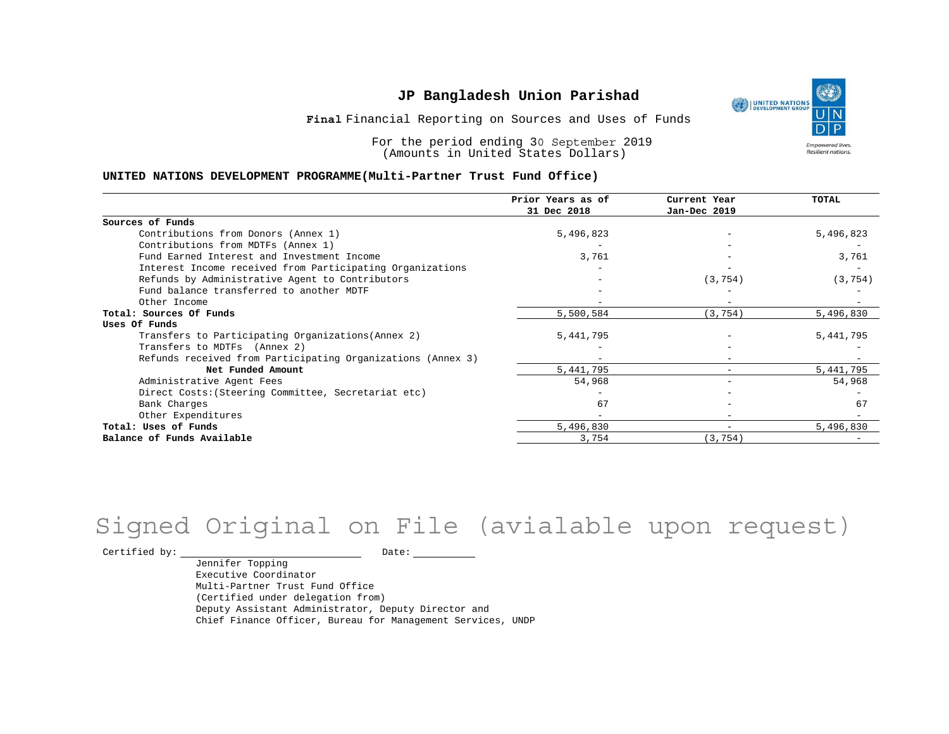

Financial Reporting on Sources and Uses of Funds **Final**

For the period ending 30 September 2019 (Amounts in United States Dollars)

#### **UNITED NATIONS DEVELOPMENT PROGRAMME(Multi-Partner Trust Fund Office)**

|                                                             | Prior Years as of<br>31 Dec 2018 | Current Year<br>Jan-Dec 2019 | <b>TOTAL</b> |
|-------------------------------------------------------------|----------------------------------|------------------------------|--------------|
|                                                             |                                  |                              |              |
| Sources of Funds                                            |                                  |                              |              |
| Contributions from Donors (Annex 1)                         | 5,496,823                        |                              | 5,496,823    |
| Contributions from MDTFs (Annex 1)                          |                                  |                              |              |
| Fund Earned Interest and Investment Income                  | 3,761                            |                              | 3,761        |
| Interest Income received from Participating Organizations   |                                  |                              |              |
| Refunds by Administrative Agent to Contributors             |                                  | (3, 754)                     | (3, 754)     |
| Fund balance transferred to another MDTF                    |                                  |                              |              |
| Other Income                                                |                                  |                              |              |
| Total: Sources Of Funds                                     | 5,500,584                        | (3, 754)                     | 5,496,830    |
| Uses Of Funds                                               |                                  |                              |              |
| Transfers to Participating Organizations (Annex 2)          | 5,441,795                        |                              | 5, 441, 795  |
| Transfers to MDTFs (Annex 2)                                |                                  |                              |              |
| Refunds received from Participating Organizations (Annex 3) | $\overline{\phantom{m}}$         | $-$                          |              |
| Net Funded Amount                                           | 5,441,795                        | $-$                          | 5, 441, 795  |
| Administrative Agent Fees                                   | 54,968                           | -                            | 54,968       |
| Direct Costs: (Steering Committee, Secretariat etc)         |                                  |                              |              |
| Bank Charges                                                | 67                               |                              | 67           |
| Other Expenditures                                          |                                  | $\overline{\phantom{m}}$     |              |
| Total: Uses of Funds                                        | 5,496,830                        | -                            | 5,496,830    |
| Balance of Funds Available                                  | 3,754                            | (3, 754)                     |              |

# Signed Original on File (avialable upon request)

Certified by: Date:

Jennifer Topping Executive Coordinator Multi-Partner Trust Fund Office (Certified under delegation from) Deputy Assistant Administrator, Deputy Director and Chief Finance Officer, Bureau for Management Services, UNDP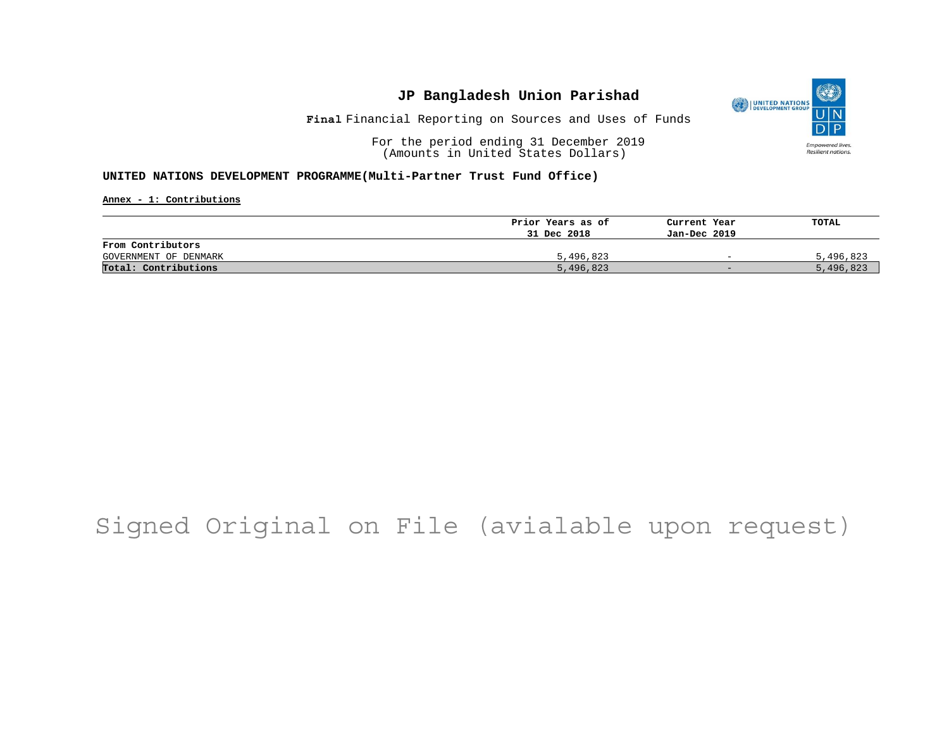

Financial Reporting on Sources and Uses of Funds **Final**

For the period ending 31 December 2019 (Amounts in United States Dollars)

#### **UNITED NATIONS DEVELOPMENT PROGRAMME(Multi-Partner Trust Fund Office)**

**Annex - 1: Contributions**

|                       | Prior Years as of | Current Year             | TOTAL     |
|-----------------------|-------------------|--------------------------|-----------|
|                       | 31 Dec 2018       | Jan-Dec 2019             |           |
| From Contributors     |                   |                          |           |
| GOVERNMENT OF DENMARK | 5,496,823         | $\overline{\phantom{0}}$ | 5,496,823 |
| Total: Contributions  | 5,496,823         | $-$                      | 5,496,823 |

## Signed Original on File (avialable upon request)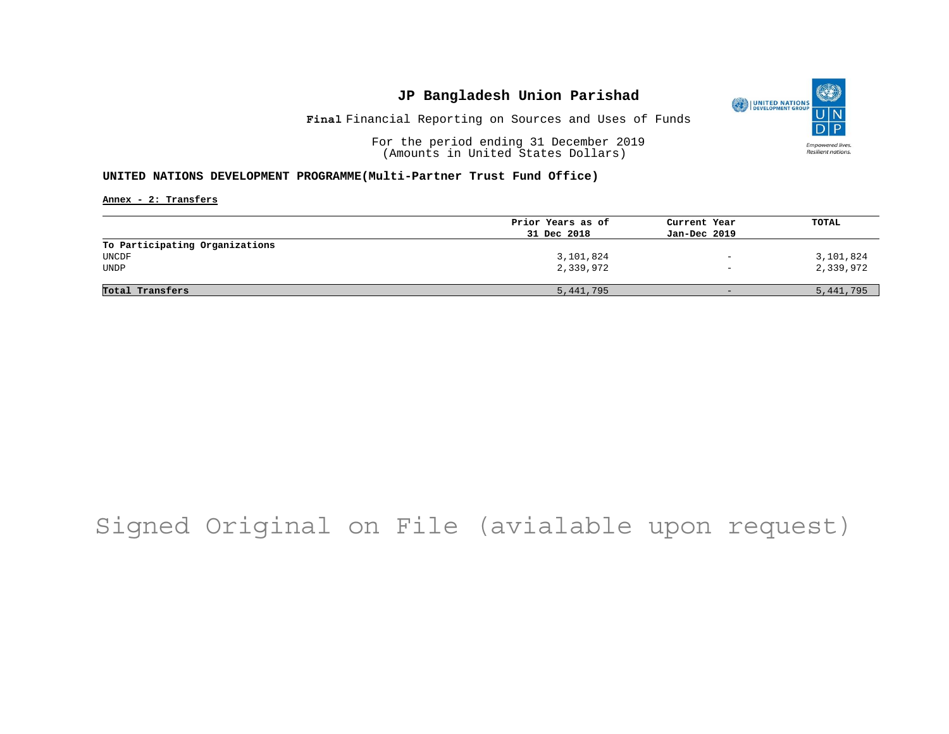

Financial Reporting on Sources and Uses of Funds **Final**

For the period ending 31 December 2019 (Amounts in United States Dollars)

#### **UNITED NATIONS DEVELOPMENT PROGRAMME(Multi-Partner Trust Fund Office)**

**Annex - 2: Transfers**

|                                | Prior Years as of | Current Year             | TOTAL     |
|--------------------------------|-------------------|--------------------------|-----------|
|                                | 31 Dec 2018       | Jan-Dec 2019             |           |
| To Participating Organizations |                   |                          |           |
| UNCDF                          | 3,101,824         | $\overline{\phantom{a}}$ | 3,101,824 |
| <b>UNDP</b>                    | 2,339,972         | $\overline{\phantom{a}}$ | 2,339,972 |
|                                |                   |                          |           |
| Total Transfers                | 5,441,795         | $-$                      | 5,441,795 |

## Signed Original on File (avialable upon request)